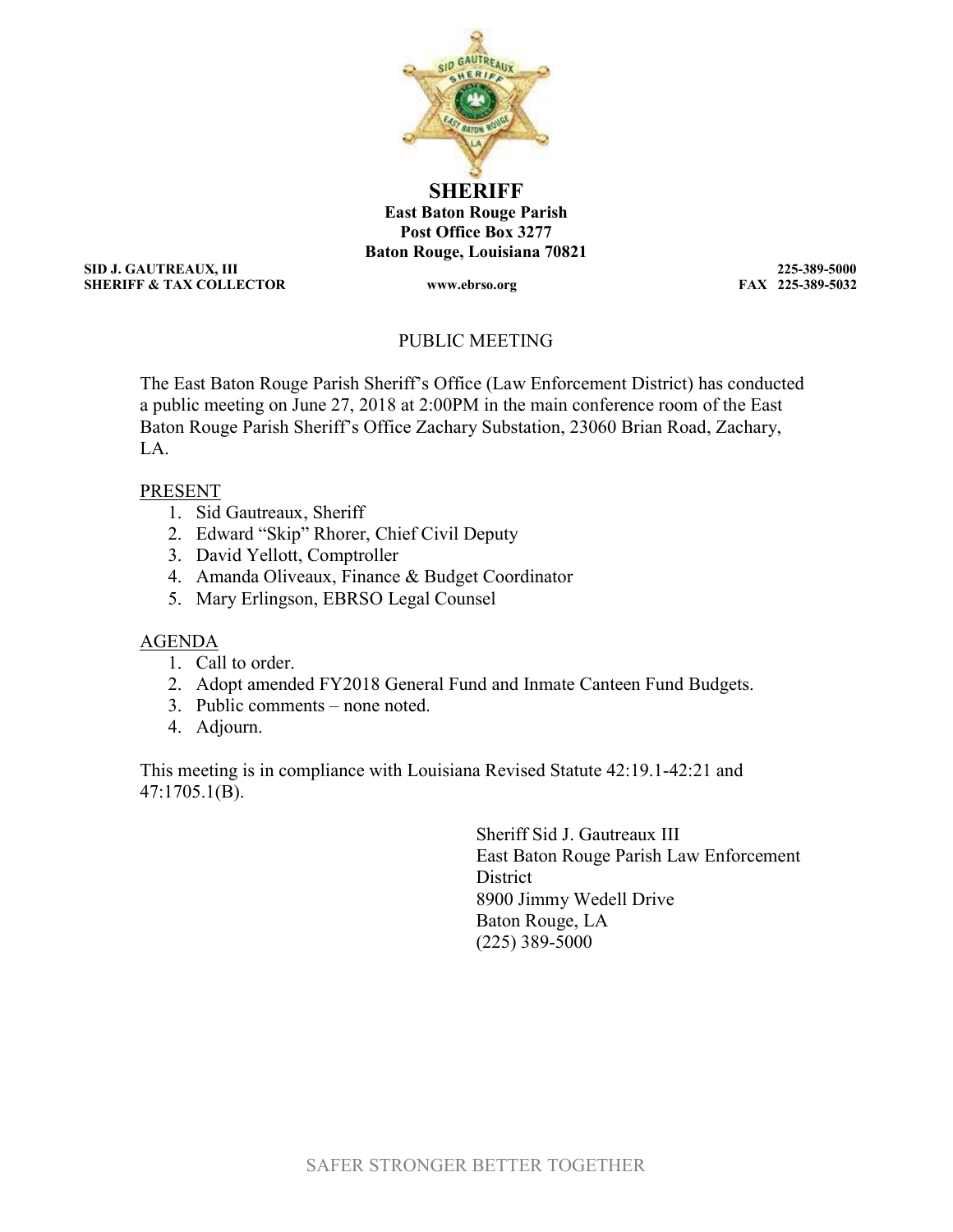

**SHERIFF** East Baton Rouge Parish Post Office Box 3277 Baton Rouge, Louisiana 70821

SID J. GAUTREAUX, III 225-389-5000 SHERIFF & TAX COLLECTOR www.ebrso.org

# PUBLIC MEETING

The East Baton Rouge Parish Sheriff's Office (Law Enforcement District) has conducted a public meeting on June 27, 2018 at 2:00PM in the main conference room of the East Baton Rouge Parish Sheriff's Office Zachary Substation, 23060 Brian Road, Zachary,  $L_A$ 

# PRESENT

- 1. Sid Gautreaux, Sheriff
- 2. Edward "Skip" Rhorer, Chief Civil Deputy
- 3. David Yellott, Comptroller
- 4. Amanda Oliveaux, Finance & Budget Coordinator
- 5. Mary Erlingson, EBRSO Legal Counsel

# AGENDA

- 1. Call to order.
- 2. Adopt amended FY2018 General Fund and Inmate Canteen Fund Budgets.
- 3. Public comments none noted.
- 4. Adjourn.

This meeting is in compliance with Louisiana Revised Statute 42:19.1-42:21 and 47:1705.1(B).

> Sheriff Sid J. Gautreaux III East Baton Rouge Parish Law Enforcement **District** 8900 Jimmy Wedell Drive Baton Rouge, LA (225) 389-5000